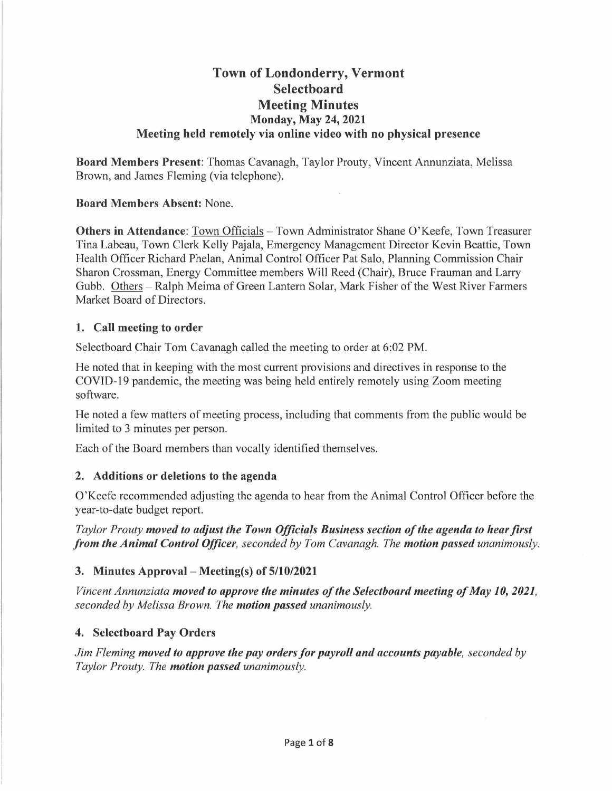# **Town of Londonderry, Vermont Selectboard Meeting Minutes Monday, May 24, 2021 Meeting held remotely via online video with no physical presence**

**Board Members Present:** Thomas Cavanagh, Taylor Prouty, Vincent Annunziata, Melissa Brown, and James Fleming (via telephone).

**Board Members Absent:** None.

**Others in Attendance:** Town Officials - Town Administrator Shane O'Keefe, Town Treasurer Tina Labeau, Town Clerk Kelly Pajala, Emergency Management Director Kevin Beattie, Town Health Officer Richard Phelan, Animal Control Officer Pat Salo, Planning Commission Chair Sharon Crossman, Energy Committee members Will Reed (Chair), Bruce Frauman and Larry Gubb. Others – Ralph Meima of Green Lantern Solar, Mark Fisher of the West River Farmers Market Board of Directors.

### **1. Call meeting to order**

Selectboard Chair Tom Cavanagh called the meeting to order at 6:02 PM.

He noted that in keeping with the most current provisions and directives in response to the COVID-19 pandemic, the meeting was being held entirely remotely using Zoom meeting software.

He noted a few matters of meeting process, including that comments from the public would be limited to 3 minutes per person.

Each of the Board members than vocally identified themselves.

### **2. Additions or deletions to the agenda**

O'Keefe recommended adjusting the agenda to hear from the Animal Control Officer before the year-to-date budget report.

*Taylor Prouty moved to adjust the Town Officials Business section of the agenda to hear first from the Animal Control Officer, seconded by Tom Cavanagh. The motion passed unanimously.* 

### **3. Minutes Approval- Meeting(s) of 5/10/2021**

*Vincent Annunziata moved to approve the minutes of the Selectboard meeting of May 10, 2021, seconded by Melissa Brown. The motion passed unanimously.* 

### **4. Selectboard Pay Orders**

*Jim Fleming moved to approve the pay orders for payroll and accounts payable, seconded by Taylor Prouty. The motion passed unanimously.*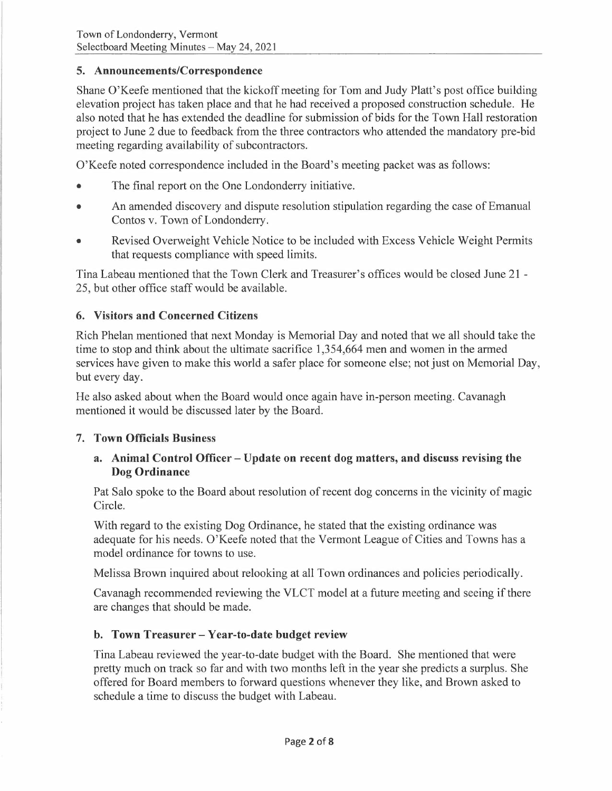### **5. Announcements/Correspondence**

Shane O'Keefe mentioned that the kickoff meeting for Tom and Judy Platt's post office building elevation project has taken place and that he had received a proposed construction schedule. He also noted that he has extended the deadline for submission of bids for the Town Hall restoration project to June 2 due to feedback from the three contractors who attended the mandatory pre-bid meeting regarding availability of subcontractors.

O'Keefe noted correspondence included in the Board's meeting packet was as follows:

- The final report on the One Londonderry initiative.
- An amended discovery and dispute resolution stipulation regarding the case of Emanual Contos v. Town of Londonderry.
- Revised Overweight Vehicle Notice to be included with Excess Vehicle Weight Permits that requests compliance with speed limits.

Tina Labeau mentioned that the Town Clerk and Treasurer's offices would be closed June 21 - 25, but other office staff would be available.

### **6. Visitors and Concerned Citizens**

Rich Phelan mentioned that next Monday is Memorial Day and noted that we all should take the time to stop and think about the ultimate sacrifice 1,354,664 men and women in the armed services have given to make this world a safer place for someone else; not just on Memorial Day, but every day.

He also asked about when the Board would once again have in-person meeting. Cavanagh mentioned it would be discussed later by the Board.

### **7. Town Officials Business**

### **a. Animal Control Officer - Update on recent dog matters, and discuss revising the Dog Ordinance**

Pat Salo spoke to the Board about resolution of recent dog concerns in the vicinity of magic Circle.

With regard to the existing Dog Ordinance, he stated that the existing ordinance was adequate for his needs. O'Keefe noted that the Vermont League of Cities and Towns has a model ordinance for towns to use.

Melissa Brown inquired about relooking at all Town ordinances and policies periodically.

Cavanagh recommended reviewing the VLCT model at a future meeting and seeing if there are changes that should be made.

### **b. Town Treasurer - Year-to-date budget review**

Tina Labeau reviewed the year-to-date budget with the Board. She mentioned that were pretty much on track so far and with two months left in the year she predicts a surplus. She offered for Board members to forward questions whenever they like, and Brown asked to schedule a time to discuss the budget with Labeau.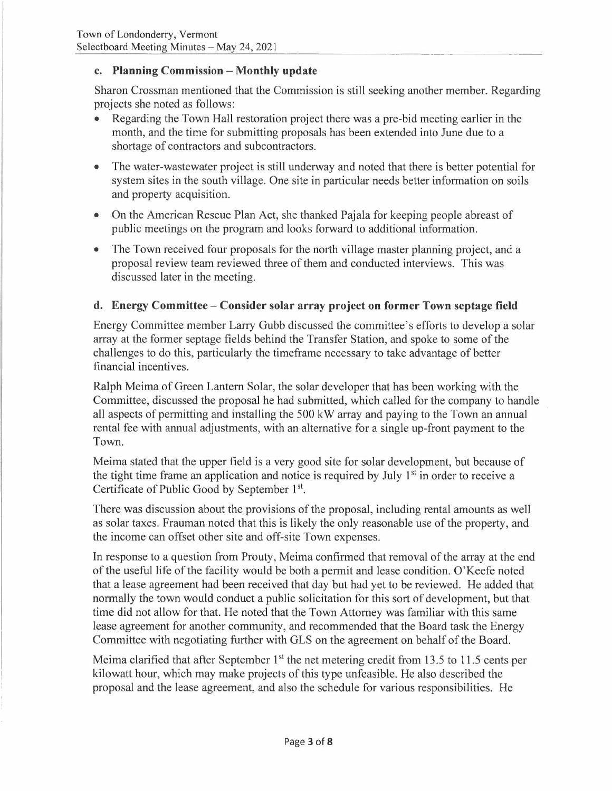### **c. Planning Commission - Monthly update**

Sharon Crossman mentioned that the Commission is still seeking another member. Regarding projects she noted as follows:

- Regarding the Town Hall restoration project there was a pre-bid meeting earlier in the month, and the time for submitting proposals has been extended into June due to a shortage of contractors and subcontractors.
- The water-wastewater project is still underway and noted that there is better potential for system sites in the south village. One site in particular needs better information on soils and property acquisition.
- On the American Rescue Plan Act, she thanked Pajala for keeping people abreast of public meetings on the program and looks forward to additional information.
- The Town received four proposals for the north village master planning project, and a proposal review team reviewed three of them and conducted interviews. This was discussed later in the meeting.

### **d. Energy Committee - Consider solar array project on former Town septage field**

Energy Committee member Larry Gubb discussed the committee's efforts to develop a solar array at the former septage fields behind the Transfer Station, and spoke to some of the challenges to do this, particularly the timeframe necessary to take advantage of better financial incentives.

Ralph Meima of Green Lantern Solar, the solar developer that has been working with the Committee, discussed the proposal he had submitted, which called for the company to handle all aspects of permitting and installing the 500 kW array and paying to the Town an annual rental fee with annual adjustments, with an alternative for a single up-front payment to the Town.

Meima stated that the upper field is a very good site for solar development, but because of the tight time frame an application and notice is required by July 1<sup>st</sup> in order to receive a Certificate of Public Good by September 1<sup>st</sup>.

There was discussion about the provisions of the proposal, including rental amounts as well as solar taxes. Frauman noted that this is likely the only reasonable use of the property, and the income can offset other site and off-site Town expenses.

In response to a question from Prouty, Meima confirmed that removal of the array at the end of the useful life of the facility would be both a permit and lease condition. O'Keefe noted that a lease agreement had been received that day but had yet to be reviewed. He added that normally the town would conduct a public solicitation for this sort of development, but that time did not allow for that. He noted that the Town Attorney was familiar with this same lease agreement for another community, and recommended that the Board task the Energy Committee with negotiating further with GLS on the agreement on behalf of the Board.

Meima clarified that after September  $1<sup>st</sup>$  the net metering credit from 13.5 to 11.5 cents per kilowatt hour, which may make projects of this type unfeasible. He also described the proposal and the lease agreement, and also the schedule for various responsibilities. He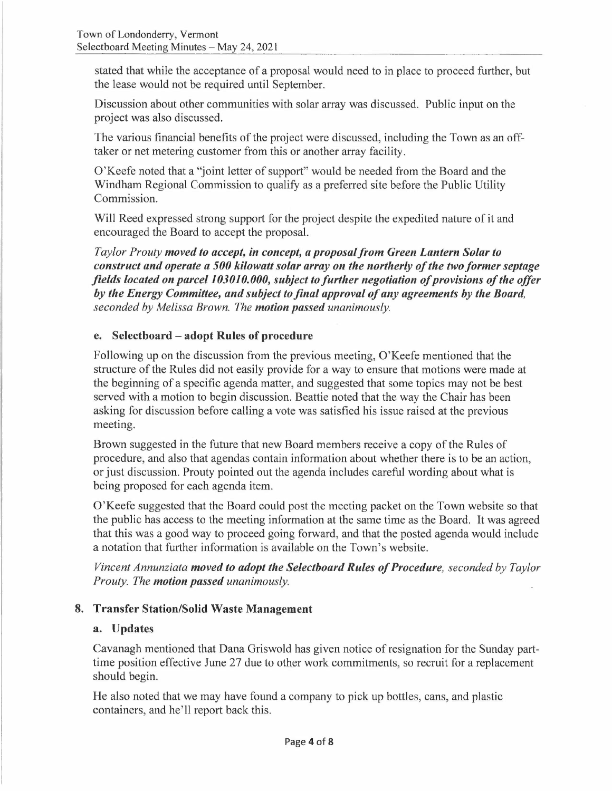stated that while the acceptance of a proposal would need to in place to proceed further, but the lease would not be required until September.

Discussion about other communities with solar array was discussed. Public input on the project was also discussed.

The various financial benefits of the project were discussed, including the Town as an offtaker or net metering customer from this or another array facility.

O'Keefe noted that a "joint letter of support" would be needed from the Board and the Windham Regional Commission to qualify as a preferred site before the Public Utility Commission.

Will Reed expressed strong support for the project despite the expedited nature of it and encouraged the Board to accept the proposal.

*Taylor Prouty moved to accept, in concept, a proposal from Green Lantern Solar to construct and operate a 500 kilowatt solar array on the northerly of the two former septage fields located on parcel 103010.000, subject to further negotiation of provisions of the offer by the Energy Committee, and subject to final approval of any agreements by the Board, seconded by Melissa Brown. The motion passed unanimously.* 

### **e. Selectboard - adopt Rules of procedure**

Following up on the discussion from the previous meeting, O'Keefe mentioned that the structure of the Rules did not easily provide for a way to ensure that motions were made at the beginning of a specific agenda matter, and suggested that some topics may not be best served with a motion to begin discussion. Beattie noted that the way the Chair has been asking for discussion before calling a vote was satisfied his issue raised at the previous meeting.

Brown suggested in the future that new Board members receive a copy of the Rules of procedure, and also that agendas contain information about whether there is to be an action, or just discussion. Prouty pointed out the agenda includes careful wording about what is being proposed for each agenda item.

O'Keefe suggested that the Board could post the meeting packet on the Town website so that the public has access to the meeting information at the same time as the Board. It was agreed that this was a good way to proceed going forward, and that the posted agenda would include a notation that further information is available on the Town's website.

*Vincent Annunziata moved to adopt the Selectboard Rules of Procedure, seconded by Taylor Prouty. The motion passed unanimously.* 

### **8. Transfer Station/Solid Waste Management**

### **a. Updates**

Cavanagh mentioned that Dana Griswold has given notice of resignation for the Sunday parttime position effective June 27 due to other work commitments, so recruit for a replacement should begin.

He also noted that we may have found a company to pick up bottles, cans, and plastic containers, and he'll report back this.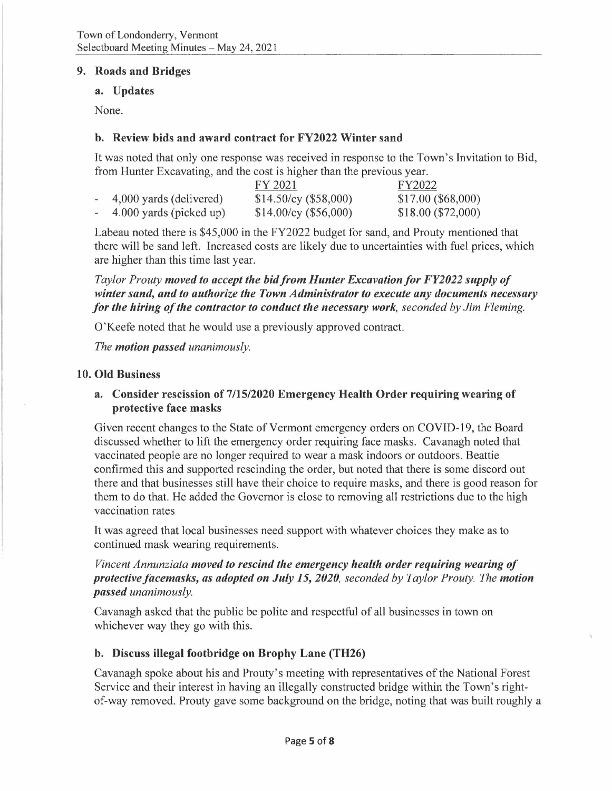#### **9. Roads and Bridges**

#### **a. Updates**

None.

### **b. Review bids and award contract for FY2022 Winter sand**

It was noted that only one response was received in response to the Town's Invitation to Bid, from Hunter Excavating, and the cost is higher than the previous year.

|                         | FY 2021               | FY2022             |
|-------------------------|-----------------------|--------------------|
| 4,000 yards (delivered) | \$14.50/cy (\$58,000) | \$17.00 (\$68,000) |
| 4.000 yards (picked up) | \$14.00/cy (\$56,000) | \$18.00 (\$72,000) |

Labeau noted there is \$45,000 in the FY2022 budget for sand, and Prouty mentioned that there will be sand left. Increased costs are likely due to uncertainties with fuel prices, which are higher than this time last year.

*Taylor Prouty moved to accept the bid from Hunter Excavation/or FY2022 supply of winter sand, and to authorize the Town Administrator to execute any documents necessary for the hiring of the contractor to conduct the necessary work, seconded by Jim Fleming.* 

O'Keefe noted that he would use a previously approved contract.

*The motion passed unanimously.* 

#### **10. Old Business**

#### **a. Consider rescission of 7/15/2020 Emergency Health Order requiring wearing of protective face masks**

Given recent changes to the State of Vermont emergency orders on COVID-19, the Board discussed whether to lift the emergency order requiring face masks. Cavanagh noted that vaccinated people are no longer required to wear a mask indoors or outdoors. Beattie confirmed this and supported rescinding the order, but noted that there is some discord out there and that businesses still have their choice to require masks, and there is good reason for them to do that. He added the Governor is close to removing all restrictions due to the high vaccination rates

It was agreed that local businesses need support with whatever choices they make as to continued mask wearing requirements.

*Vincent Annunziata moved to rescind the emergency health order requiring wearing of protectivefacemasks, as adopted on July 15, 2020, seconded by Taylor Prouty. The motion passed unanimously.* 

Cavanagh asked that the public be polite and respectful of all businesses in town on whichever way they go with this.

### **b. Discuss illegal footbridge on Brophy Lane (TH26)**

Cavanagh spoke about his and Prouty's meeting with representatives of the National Forest Service and their interest in having an illegally constructed bridge within the Town's rightof-way removed. Prouty gave some background on the bridge, noting that was built roughly a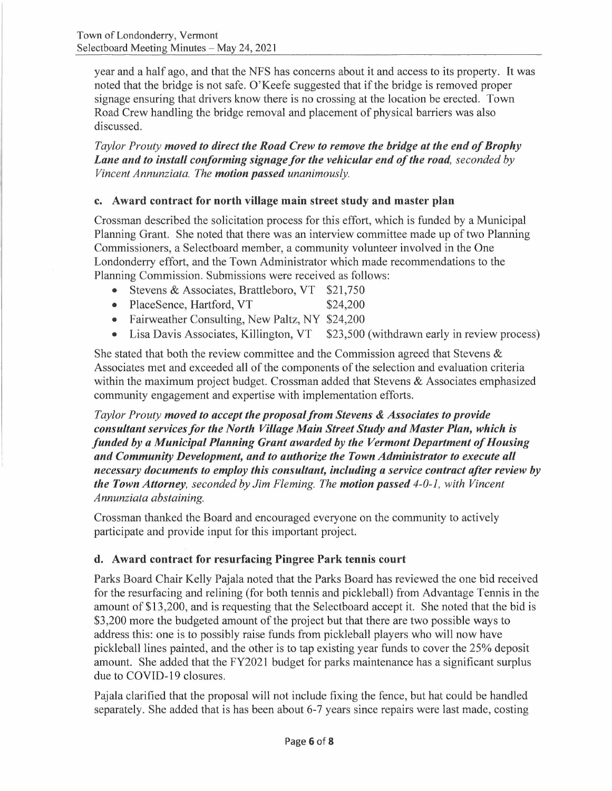year and a half ago, and that the NFS has concerns about it and access to its property. It was noted that the bridge is not safe. O'Keefe suggested that if the bridge is removed proper signage ensuring that drivers know there is no crossing at the location be erected. Town Road Crew handling the bridge removal and placement of physical barriers was also discussed.

*Taylor Prouty moved to direct the Road Crew to remove the bridge at the end of Brophy Lane and to install conforming signage for the vehicular end of the road, seconded by Vincent Annunziata. The motion passed unanimously.* 

### **c. Award contract for north village main street study and master plan**

Crossman described the solicitation process for this effort, which is funded by a Municipal Planning Grant. She noted that there was an interview committee made up of two Planning Commissioners, a Selectboard member, a community volunteer involved in the One Londonderry effort, and the Town Administrator which made recommendations to the Planning Commission. Submissions were received as follows:

- Stevens & Associates, Brattleboro, VT \$21,750
- PlaceSence, Hartford, VT \$24,200
- Fairweather Consulting, New Paltz, NY \$24,200
- Lisa Davis Associates, Killington, VT \$23,500 (withdrawn early in review process)

She stated that both the review committee and the Commission agreed that Stevens  $\&$ Associates met and exceeded all of the components of the selection and evaluation criteria within the maximum project budget. Crossman added that Stevens & Associates emphasized community engagement and expertise with implementation efforts.

*Taylor Prouty moved to accept the proposal from Stevens & Associates to provide consultant services for the North Village Main Street Study and Master Plan, which is funded by a Municipal Planning Grant awarded by the Vermont Department of Housing and Community Development, and to authorize the Town Administrator to execute all necessary documents to employ this consultant, including a service contract after review by the Town Attorney, seconded by Jim Fleming. The motion passed 4-0-1, with Vincent Annunziata abstaining.* 

Crossman thanked the Board and encouraged everyone on the community to actively participate and provide input for this important project.

### **d. Award contract for resurfacing Pingree Park tennis court**

Parks Board Chair Kelly Pajala noted that the Parks Board has reviewed the one bid received for the resurfacing and relining (for both tennis and pickleball) from Advantage Tennis in the amount of \$13,200, and is requesting that the Selectboard accept it. She noted that the bid is \$3,200 more the budgeted amount of the project but that there are two possible ways to address this: one is to possibly raise funds from pickleball players who will now have pickleball lines painted, and the other is to tap existing year funds to cover the 25% deposit amount. She added that the FY2021 budget for parks maintenance has a significant surplus due to COVID-19 closures.

Pajala clarified that the proposal will not include fixing the fence, but hat could be handled separately. She added that is has been about 6-7 years since repairs were last made, costing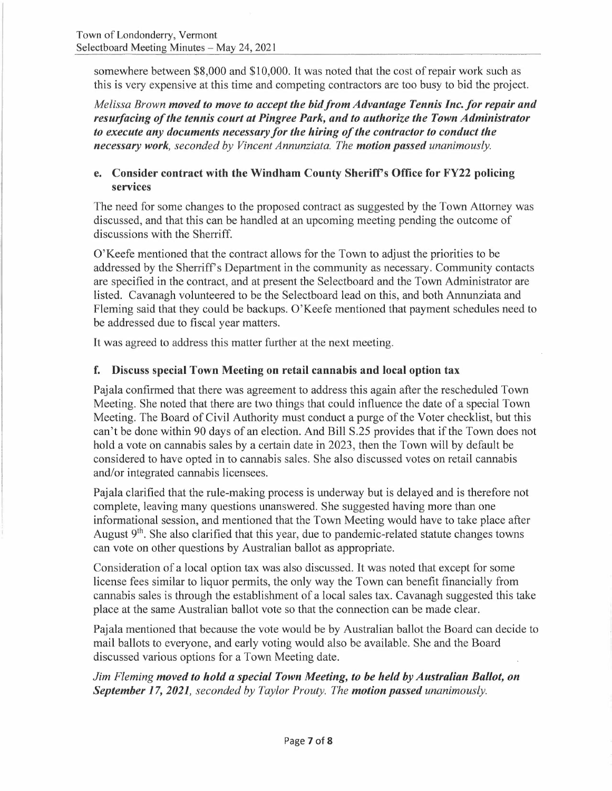somewhere between \$8,000 and \$10,000. It was noted that the cost of repair work such as this is very expensive at this time and competing contractors are too busy to bid the project.

*Melissa Brown moved to move to accept the bidfromAdvantage Tennis Inc.for repair and resurfacing of the tennis court at Pingree Park, and to authorize the Town Administrator to execute any documents necessary for the hiring of the contractor to conduct the necessary work, seconded by Vincent Annunziata. The motion passed unanimously.* 

### **e. Consider contract with the Windham County Sheriff's Office for FY22 policing services**

The need for some changes to the proposed contract as suggested by the Town Attorney was discussed, and that this can be handled at an upcoming meeting pending the outcome of discussions with the Sherriff.

O'Keefe mentioned that the contract allows for the Town to adjust the priorities to be addressed by the Sherriff's Department in the community as necessary. Community contacts are specified in the contract, and at present the Selectboard and the Town Administrator are listed. Cavanagh volunteered to be the Selectboard lead on this, and both Annunziata and Fleming said that they could be backups. O'Keefe mentioned that payment schedules need to be addressed due to fiscal year matters.

It was agreed to address this matter further at the next meeting.

## **f. Discuss special Town Meeting on retail cannabis and local option tax**

Pajala confirmed that there was agreement to address this again after the rescheduled Town Meeting. She noted that there are two things that could influence the date of a special Town Meeting. The Board of Civil Authority must conduct a purge of the Voter checklist, but this can't be done within 90 days of an election. And Bill S.25 provides that if the Town does not hold a vote on cannabis sales by a certain date in 2023, then the Town will by default be considered to have opted in to cannabis sales. She also discussed votes on retail cannabis and/or integrated cannabis licensees.

Pajala clarified that the rule-making process is underway but is delayed and is therefore not complete, leaving many questions unanswered. She suggested having more than one informational session, and mentioned that the Town Meeting would have to take place after August 9<sup>th</sup>. She also clarified that this year, due to pandemic-related statute changes towns can vote on other questions by Australian ballot as appropriate.

Consideration of a local option tax was also discussed. It was noted that except for some license fees similar to liquor permits, the only way the Town can benefit financially from cannabis sales is through the establishment of a local sales tax. Cavanagh suggested this take place at the same Australian ballot vote so that the connection can be made clear.

Pajala mentioned that because the vote would be by Australian ballot the Board can decide to mail ballots to everyone, and early voting would also be available. She and the Board discussed various options for a Town Meeting date.

*Jim Fleming moved to hold a special Town Meeting, to be held by Australian Ballot, on September 17, 2021, seconded by Taylor Prouty. The motion passed unanimously.*